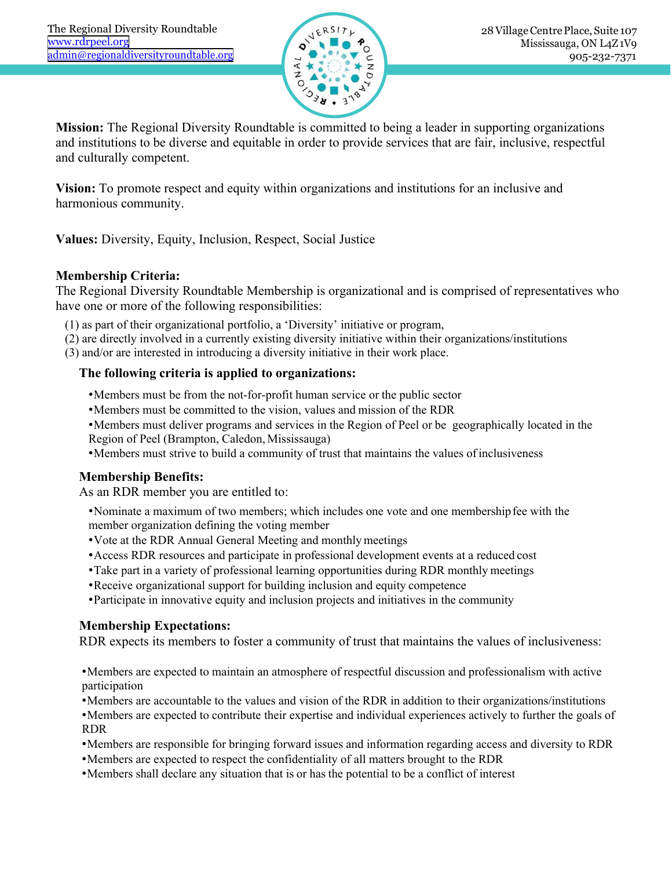

**Mission:** The Regional Diversity Roundtable is committed to being a leader in supporting organizations and institutions to be diverse and equitable in order to provide services that are fair, inclusive, respectful and culturally competent.

**Vision:** To promote respect and equity within organizations and institutions for an inclusive and harmonious community.

**Values:** Diversity, Equity, Inclusion, Respect, Social Justice

## **Membership Criteria:**

The Regional Diversity Roundtable Membership is organizational and is comprised of representatives who have one or more of the following responsibilities: **The following criteria is applied to organizations and institutions for a<br>
<b>The Following community.**<br> **The following criteria:**<br> **Regional Diversity, Equity, Inclusion, Respect, Social Justice**<br> **Regional Diversity Round** Regional Diversity Roundtable Membership is organ<br>
one or more of the following responsibilities:<br>
as part of their organizational portfolio, a 'Diversity' initi<br>
are directly involved in a currently existing diversity ini

- (1) as part of their organizational portfolio, a 'Diversity' initiative or program,
- (2) are directly involved in a currently existing diversity initiative within their organizations/institutions
- (3) and/or are interested in introducing a diversity initiative in their work place.

- •Members must be from the not-for-profit human service or the public sector
- •Members must be committed to the vision, values and mission of the RDR
- •Members must deliver programs and services in the Region of Peel or be geographically located in the Region of Peel (Brampton, Caledon, Mississauga) As an RDR member you are entitled to:<br>
Alternative and the vertical and the vertical and the vertical and the vertical and the comparent are directly involved in a currently existing diversity initiative or program, are di
	- •Members must strive to build a community of trust that maintains the values ofinclusiveness

- •Nominate a maximum of two members; which includes one vote and one membership fee with the member organization defining the voting member
- •Vote at the RDR Annual General Meeting and monthlymeetings
- •Access RDR resources and participate in professional development events at a reduced cost
- •Take part in a variety of professional learning opportunities during RDR monthly meetings
- •Receive organizational support for building inclusion and equity competence
- •Participate in innovative equity and inclusion projects and initiatives in the community

### **Membership Expectations:**

RDR expects its members to foster a community of trust that maintains the values of inclusiveness:

•Members are expected to maintain an atmosphere of respectful discussion and professionalism with active participation

•Members are accountable to the values and vision of the RDR in addition to their organizations/institutions

•Members are expected to contribute their expertise and individual experiences actively to further the goals of RDR

- •Members are responsible for bringing forward issues and information regarding access and diversity to RDR
- •Members are expected to respect the confidentiality of all matters brought to the RDR
- •Members shall declare any situation that is or has the potential to be a conflict of interest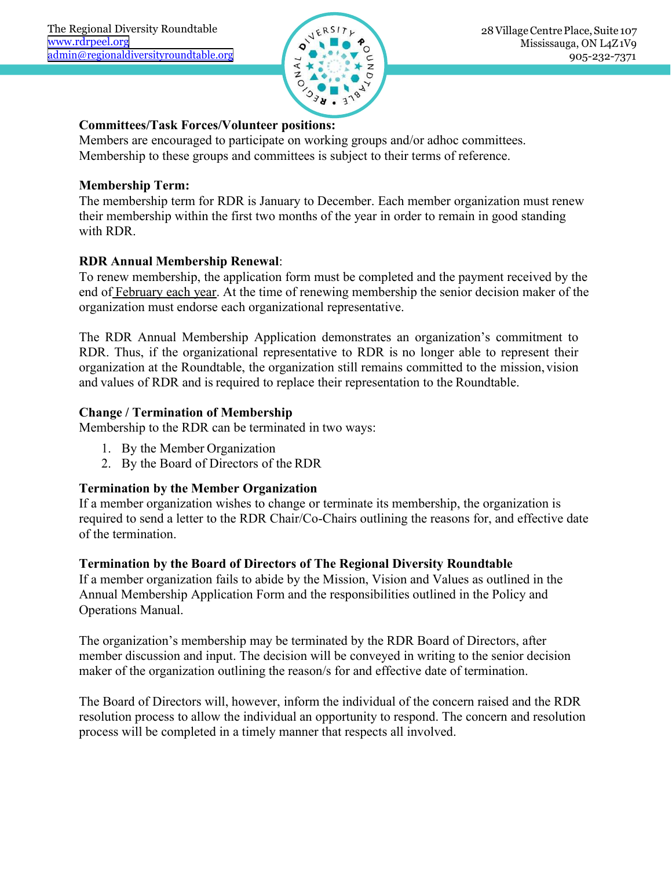

**Committees/Task Forces/Volunteer positions:**<br>
Membership to these groups and committees is subject to their terms of references.<br> **Committees/Task Forces/Volunteer positions:**<br>
Membership to these groups and committees is Members are encouraged to participate on working groups and/or adhoc committees.<br>
The members are encouraged to participate on working groups and/or adhoc committees.<br>
Members are encouraged to participate on working grou Examples and Diversity Roundtable.org<br>
Subject to the difference suite to the difference subject to their membership to these groups and committees is subject to their terms of reference.<br>
Membership Term:<br>
The membership

**Mathematives:**<br> **Mathematives:**<br> **Mathematives:**<br> **Mathematives:**<br> **Mathematics:**<br> **Membership Term:**<br> **Membership Term:**<br> **Membership Term:**<br> **Membership Term:**<br> **Membership Term:**<br> **Membership Term:**<br> **Membership Term:** Exampled the membership term for RDR is January to December. Each member organization must renew<br>
RDR Annual Membership term for RDR is January to December. Each member organization must renew<br>
RDR Annual Membership Renew Examples and the state to remain the first two months of the year in order to remain in good standing<br>
The membership within the first two months of the year in order to remain in good standing<br>
The membership to these gr Green and The and Society Contractors<br>
Committees/Task Forces/Volunteer posit<br>
Members are encouraged to participate on w<br>
Membership to these groups and committee<br>
Membership Term:<br>
The membership term for RDR is January

**READER Annual Membership Renewal:**<br> **READER Annual Membership renewally and the set of Set of Set of Membership to these groups and committees is subject to their term<br>
<b>Membership Term:**<br> **The membership term for RDR is Committees/Task Forces/Volunteer positions:**<br>
Members are encouraged to participate on working groups and/or adhoc committees.<br>
Membership to these groups and committees is subject to their terms of reference.<br> **Membersh Committees/Task Forces/Volunteer positions:**<br>
Members are encouraged to participate on working groups and/or adhoc committees.<br>
Membership to these groups and committees is subject to their terms of reference.<br> **Membersh Committees/Task Forces/Volunteer positions:**<br>
Members are encouraged to participate on working groups and/or adhoc committees.<br>
Membership to these groups and committees is subject to their terms of reference.<br> **Membershi** 

Members are encouraged to participate on working groups and/or adhoc committees.<br>
Membership to these groups and committees is subject to their terms of reference.<br>
The membership term for RDR is January to December. Each Membership to these groups and committees is subject to their terms of reference.<br> **Membership Term:**<br>
The membership term for RDR is January to December. Each member organization must renew<br>
their membership with the firs **Membership Term:**<br>The membership term for RDR is January to December. Each member organization must renew<br>their membership within the first two months of the year in order to remain in good standing<br>with RDR.<br>**RDR Annual Membership Term:**<br>The membership trem for RDR is January to December. Each member organization must renew<br>their membership within the first two months of the year in order to remain in good standing<br>with RDR.<br>**RDR Annual** their membership within the first two months of the year in order to<br>with RDR.<br>**RDR Annual Membership Renewal:**<br>To renew membership, the application form must be completed ane<br>end of <u>February each year</u>. At the time of re With RDR.<br> **RDR Annual Membership Renewal:**<br>
To renew membership, the application form must be completed and the payment received<br>
end of <u>February each year</u>. At the time of renewing membership the senior decision make<br>
o end of **Francish Properties**. At the time of renewing inembership the sen organization must endorse each organizational representative.<br>The RDR Annual Membership Application demonstrates an organization at the Roundtable, organization must endorse each organizational representative.<br>
The RDR Annual Membership Application demonstrates an organization's commitment to<br>
RDR. Thus, if the organizational representative to RDR is no longer able to The RDR Annual Membership Application demonstrates an organization's commitment to<br>RDR. Thus, if the organizational representative to RDR is no longer able to represent their<br>organization at the Roundtable, the organizatio The RDR Annual Membership Application<br>RDR. Thus, if the organizational representa<br>organization at the Roundtable, the organizat<br>and values of RDR and is required to replace<br>**Change / Termination of Membership**<br>Membership t

- 1. By the Member Organization
- 2. By the Board of Directors of the RDR

**The Board of Directors of The Regional Diversity Roundtable**<br> **The Board of RDR** and is required to replace their representation to the Roundtable.<br> **Change / Termination of Membership**<br>
2. By the Member Organization<br>
2. and values of RDR and is required to replace their representation to the Roundtable.<br> **Change / Termination of Membership**<br>
Membership to the RDR can be terminated in two ways:<br>
1. By the Member Organization<br>
2. By the Boa Change / Termination of Membership<br>
Membership to the RDR can be terminated in two ways:<br>
1. By the Member Organization<br>
2. By the Board of Directors of the RDR<br>
Termination by the Member Organization<br>
If a member organiza 1. By the Member Organization<br>
2. By the Board of Directors of the RDR<br> **Termination by the Member Organization**<br>
If a member organization wishes to change or terminate its membership, the organization is<br>
Frequired to sen 2. By the Board of Directors of the RDR<br> **Termination by the Member Organization**<br>
If a member organization wishes to change or terminate its membership, the organization is<br>
required to send a letter to the RDR Chair/Co-C **Termination by the Member Organization**<br>If a member organization wishes to change or terminate its membership, the organization is<br>required to send a letter to the RDR Chair/Co-Chairs outlining the reasons for, and effect

Change / **1 ermination of Membership**<br>Membership to the RDR can be terminated in two<br>1. By the Member Organization<br>2. By the Board of Directors of the RDR<br>**Termination by the Member Organization**<br>If a member organization w

IT a member organization wishes to change or terminate its membersinp, the organization is<br>required to send a letter to the RDR Chair/Co-Chairs outlining the reasons for, and effective date<br>of the termination.<br>Termination required to send a letter to the KDR Chair/Co-Chairs outlining the reasons for, and effective date<br>of the termination.<br>Termination by the Board of Directors of The Regional Diversity Roundtable<br>Annual Membership Applicatio Termination.<br>Termination by the Board of Directors of The Regional Diversity Roundtable<br>If a member organization fails to abide by the Mission, Vision and Values as outlined in the<br>Annual Membership Application Form and th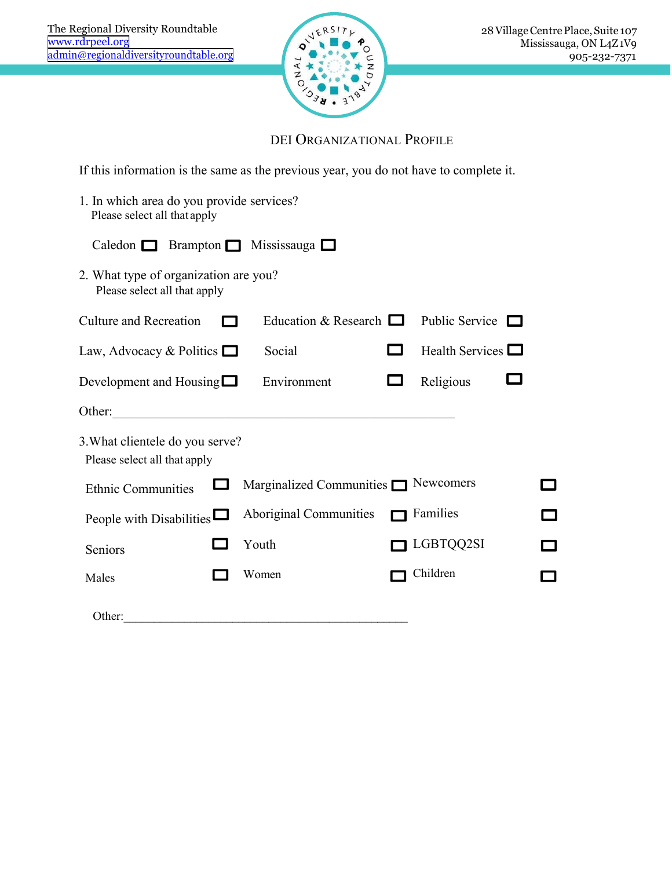

| egional Diversity Roundtable<br>rdrpeel.org<br>@regionaldiversityroundtable.org       | ERSIT<br>z<br>Ò                           |                        | 28 Village Centre Place, Suite 107<br>Mississauga, ON L4Z1V9<br>905-232-7371                                          |  |
|---------------------------------------------------------------------------------------|-------------------------------------------|------------------------|-----------------------------------------------------------------------------------------------------------------------|--|
|                                                                                       | DEI ORGANIZATIONAL PROFILE                |                        |                                                                                                                       |  |
| If this information is the same as the previous year, you do not have to complete it. |                                           |                        |                                                                                                                       |  |
| 1. In which area do you provide services?<br>Please select all that apply             |                                           |                        |                                                                                                                       |  |
| Caledon $\Box$                                                                        | Brampton $\Box$ Mississauga $\Box$        |                        |                                                                                                                       |  |
| 2. What type of organization are you?<br>Please select all that apply                 |                                           |                        |                                                                                                                       |  |
| <b>Culture and Recreation</b>                                                         | Education & Research $\Box$               | Public Service $\Box$  |                                                                                                                       |  |
| Law, Advocacy & Politics $\Box$                                                       | Social                                    | Health Services $\Box$ |                                                                                                                       |  |
| Development and Housing $\Box$                                                        | Environment                               | Religious              |                                                                                                                       |  |
| Other:                                                                                |                                           |                        |                                                                                                                       |  |
| 3. What clientele do you serve?<br>Please select all that apply                       |                                           |                        |                                                                                                                       |  |
| <b>Ethnic Communities</b>                                                             | Marginalized Communities $\Box$ Newcomers |                        |                                                                                                                       |  |
| People with Disabilities $\Box$                                                       | Aboriginal Communities                    | Families               | $\mathbf{I}$                                                                                                          |  |
| Seniors                                                                               | Youth                                     | LGBTQQ2SI              | <b>The Contract of the Contract of the Contract of the Contract of the Contract of the Contract of the Contract o</b> |  |
| Males                                                                                 | Women                                     | Children               |                                                                                                                       |  |
| Other:                                                                                |                                           |                        |                                                                                                                       |  |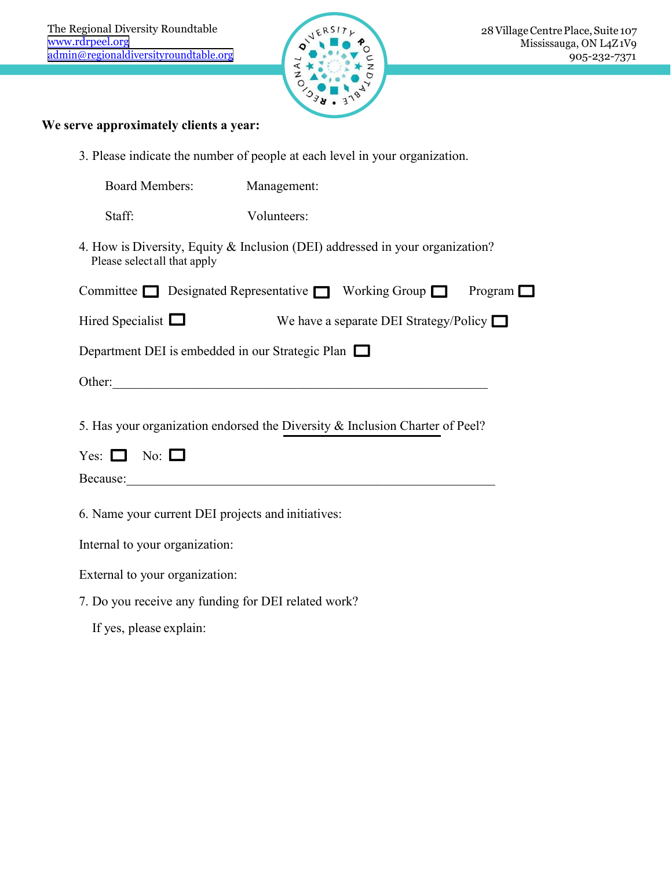

| egional Diversity Roundtable<br>drpeel.org<br>@regionaldiversityroundtable.org                               | z<br>▽                                          | 28 Village Centre Place, Suite 107<br>Mississauga, ON L4Z1V9<br>905-232-7371 |
|--------------------------------------------------------------------------------------------------------------|-------------------------------------------------|------------------------------------------------------------------------------|
| ve approximately clients a year:                                                                             |                                                 |                                                                              |
| 3. Please indicate the number of people at each level in your organization.                                  |                                                 |                                                                              |
| <b>Board Members:</b>                                                                                        | Management:                                     |                                                                              |
| Staff:                                                                                                       | Volunteers:                                     |                                                                              |
| 4. How is Diversity, Equity & Inclusion (DEI) addressed in your organization?<br>Please selectall that apply |                                                 |                                                                              |
| Committee $\Box$ Designated Representative $\Box$ Working Group $\Box$                                       |                                                 | Program 1                                                                    |
| Hired Specialist $\Box$                                                                                      |                                                 | We have a separate DEI Strategy/Policy $\Box$                                |
| Department DEI is embedded in our Strategic Plan $\Box$                                                      |                                                 |                                                                              |
| Other:                                                                                                       | <u> 1970 - John Stein, Amerikaansk kanton (</u> |                                                                              |
| 5. Has your organization endorsed the Diversity & Inclusion Charter of Peel?                                 |                                                 |                                                                              |
| Yes: $\Box$ No: $\Box$                                                                                       |                                                 |                                                                              |
|                                                                                                              |                                                 |                                                                              |
| 6. Name your current DEI projects and initiatives:                                                           |                                                 |                                                                              |
| Internal to your organization:                                                                               |                                                 |                                                                              |
| External to your organization:                                                                               |                                                 |                                                                              |
| 7. Do you receive any funding for DEI related work?                                                          |                                                 |                                                                              |
| If yes, please explain:                                                                                      |                                                 |                                                                              |
|                                                                                                              |                                                 |                                                                              |
|                                                                                                              |                                                 |                                                                              |